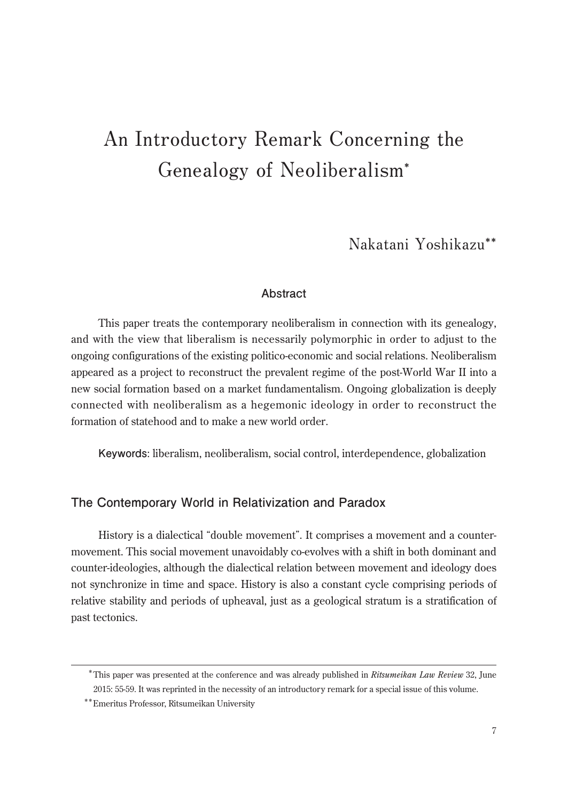# **An Introductory Remark Concerning the Genealogy of Neoliberalism\***

**Nakatani Yoshikazu\*\***

## **Abstract**

This paper treats the contemporary neoliberalism in connection with its genealogy, and with the view that liberalism is necessarily polymorphic in order to adjust to the ongoing configurations of the existing politico-economic and social relations. Neoliberalism appeared as a project to reconstruct the prevalent regime of the post-World War II into a new social formation based on a market fundamentalism. Ongoing globalization is deeply connected with neoliberalism as a hegemonic ideology in order to reconstruct the formation of statehood and to make a new world order.

**Keywords**: liberalism, neoliberalism, social control, interdependence, globalization

## **The Contemporary World in Relativization and Paradox**

History is a dialectical "double movement". It comprises a movement and a countermovement. This social movement unavoidably co-evolves with a shift in both dominant and counter-ideologies, although the dialectical relation between movement and ideology does not synchronize in time and space. History is also a constant cycle comprising periods of relative stability and periods of upheaval, just as a geological stratum is a stratification of past tectonics.

<sup>\*</sup> This paper was presented at the conference and was already published in *Ritsumeikan Law Review* 32, June 2015: 55-59. It was reprinted in the necessity of an introductory remark for a special issue of this volume.

<sup>\*\*</sup>Emeritus Professor, Ritsumeikan University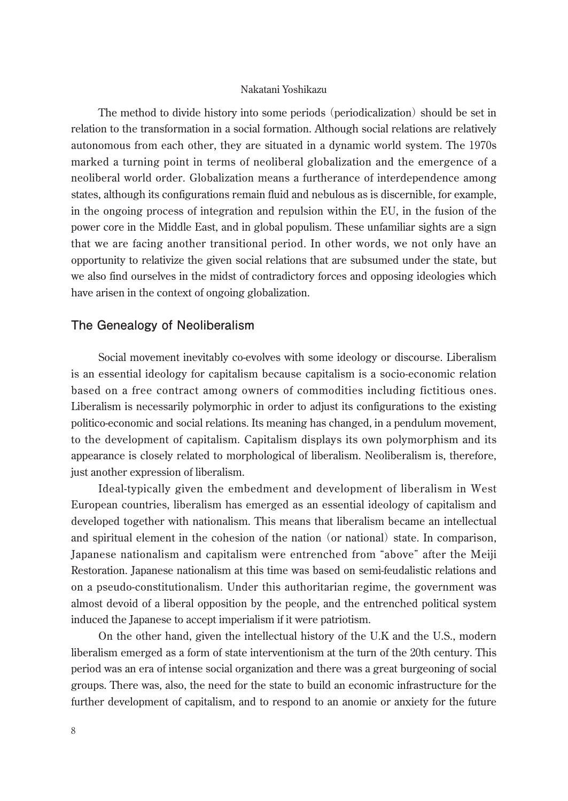#### Nakatani Yoshikazu

The method to divide history into some periods (periodicalization) should be set in relation to the transformation in a social formation. Although social relations are relatively autonomous from each other, they are situated in a dynamic world system. The 1970s marked a turning point in terms of neoliberal globalization and the emergence of a neoliberal world order. Globalization means a furtherance of interdependence among states, although its configurations remain fluid and nebulous as is discernible, for example, in the ongoing process of integration and repulsion within the EU, in the fusion of the power core in the Middle East, and in global populism. These unfamiliar sights are a sign that we are facing another transitional period. In other words, we not only have an opportunity to relativize the given social relations that are subsumed under the state, but we also find ourselves in the midst of contradictory forces and opposing ideologies which have arisen in the context of ongoing globalization.

#### **The Genealogy of Neoliberalism**

Social movement inevitably co-evolves with some ideology or discourse. Liberalism is an essential ideology for capitalism because capitalism is a socio-economic relation based on a free contract among owners of commodities including fictitious ones. Liberalism is necessarily polymorphic in order to adjust its configurations to the existing politico-economic and social relations. Its meaning has changed, in a pendulum movement, to the development of capitalism. Capitalism displays its own polymorphism and its appearance is closely related to morphological of liberalism. Neoliberalism is, therefore, just another expression of liberalism.

Ideal-typically given the embedment and development of liberalism in West European countries, liberalism has emerged as an essential ideology of capitalism and developed together with nationalism. This means that liberalism became an intellectual and spiritual element in the cohesion of the nation (or national) state. In comparison, Japanese nationalism and capitalism were entrenched from "above" after the Meiji Restoration. Japanese nationalism at this time was based on semi-feudalistic relations and on a pseudo-constitutionalism. Under this authoritarian regime, the government was almost devoid of a liberal opposition by the people, and the entrenched political system induced the Japanese to accept imperialism if it were patriotism.

On the other hand, given the intellectual history of the U.K and the U.S., modern liberalism emerged as a form of state interventionism at the turn of the 20th century. This period was an era of intense social organization and there was a great burgeoning of social groups. There was, also, the need for the state to build an economic infrastructure for the further development of capitalism, and to respond to an anomie or anxiety for the future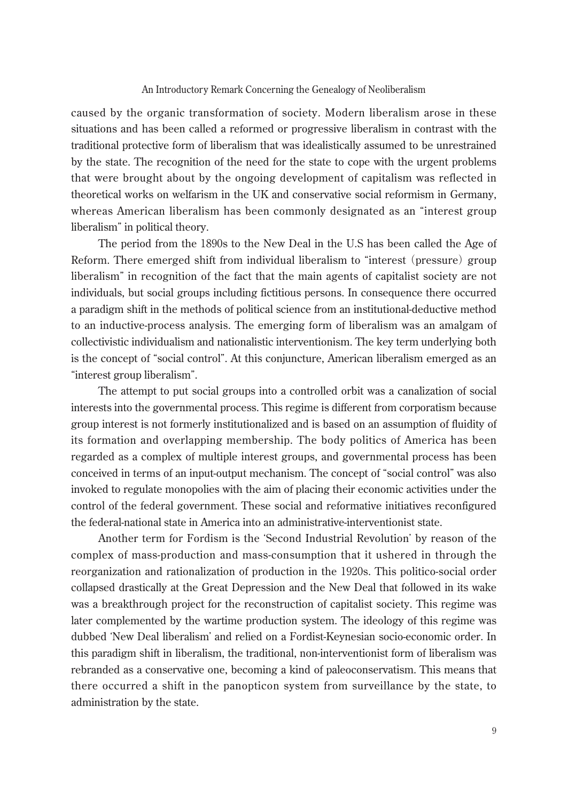#### An Introductory Remark Concerning the Genealogy of Neoliberalism

caused by the organic transformation of society. Modern liberalism arose in these situations and has been called a reformed or progressive liberalism in contrast with the traditional protective form of liberalism that was idealistically assumed to be unrestrained by the state. The recognition of the need for the state to cope with the urgent problems that were brought about by the ongoing development of capitalism was reflected in theoretical works on welfarism in the UK and conservative social reformism in Germany, whereas American liberalism has been commonly designated as an "interest group liberalism" in political theory.

The period from the 1890s to the New Deal in the U.S has been called the Age of Reform. There emerged shift from individual liberalism to "interest (pressure) group liberalism" in recognition of the fact that the main agents of capitalist society are not individuals, but social groups including fictitious persons. In consequence there occurred a paradigm shift in the methods of political science from an institutional-deductive method to an inductive-process analysis. The emerging form of liberalism was an amalgam of collectivistic individualism and nationalistic interventionism. The key term underlying both is the concept of "social control". At this conjuncture, American liberalism emerged as an "interest group liberalism".

The attempt to put social groups into a controlled orbit was a canalization of social interests into the governmental process. This regime is different from corporatism because group interest is not formerly institutionalized and is based on an assumption of fluidity of its formation and overlapping membership. The body politics of America has been regarded as a complex of multiple interest groups, and governmental process has been conceived in terms of an input-output mechanism. The concept of "social control" was also invoked to regulate monopolies with the aim of placing their economic activities under the control of the federal government. These social and reformative initiatives reconfigured the federal-national state in America into an administrative-interventionist state.

Another term for Fordism is the ʻSecond Industrial Revolution' by reason of the complex of mass-production and mass-consumption that it ushered in through the reorganization and rationalization of production in the 1920s. This politico-social order collapsed drastically at the Great Depression and the New Deal that followed in its wake was a breakthrough project for the reconstruction of capitalist society. This regime was later complemented by the wartime production system. The ideology of this regime was dubbed ʻNew Deal liberalism' and relied on a Fordist-Keynesian socio-economic order. In this paradigm shift in liberalism, the traditional, non-interventionist form of liberalism was rebranded as a conservative one, becoming a kind of paleoconservatism. This means that there occurred a shift in the panopticon system from surveillance by the state, to administration by the state.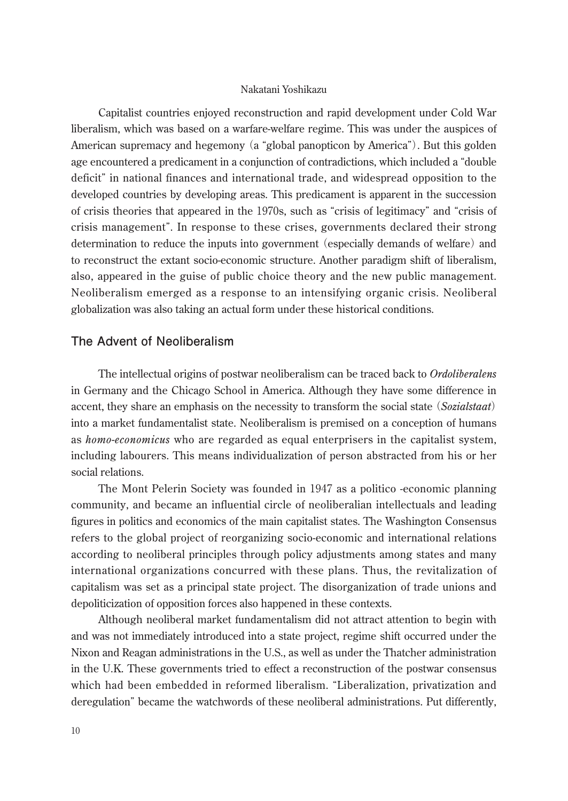#### Nakatani Yoshikazu

Capitalist countries enjoyed reconstruction and rapid development under Cold War liberalism, which was based on a warfare-welfare regime. This was under the auspices of American supremacy and hegemony (a "global panopticon by America"). But this golden age encountered a predicament in a conjunction of contradictions, which included a "double deficit" in national finances and international trade, and widespread opposition to the developed countries by developing areas. This predicament is apparent in the succession of crisis theories that appeared in the 1970s, such as "crisis of legitimacy" and "crisis of crisis management". In response to these crises, governments declared their strong determination to reduce the inputs into government (especially demands of welfare) and to reconstruct the extant socio-economic structure. Another paradigm shift of liberalism, also, appeared in the guise of public choice theory and the new public management. Neoliberalism emerged as a response to an intensifying organic crisis. Neoliberal globalization was also taking an actual form under these historical conditions.

## **The Advent of Neoliberalism**

The intellectual origins of postwar neoliberalism can be traced back to *Ordoliberalens* in Germany and the Chicago School in America. Although they have some difference in accent, they share an emphasis on the necessity to transform the social state (*Sozialstaat*) into a market fundamentalist state. Neoliberalism is premised on a conception of humans as *homo-economicus* who are regarded as equal enterprisers in the capitalist system, including labourers. This means individualization of person abstracted from his or her social relations.

The Mont Pelerin Society was founded in 1947 as a politico -economic planning community, and became an influential circle of neoliberalian intellectuals and leading figures in politics and economics of the main capitalist states. The Washington Consensus refers to the global project of reorganizing socio-economic and international relations according to neoliberal principles through policy adjustments among states and many international organizations concurred with these plans. Thus, the revitalization of capitalism was set as a principal state project. The disorganization of trade unions and depoliticization of opposition forces also happened in these contexts.

Although neoliberal market fundamentalism did not attract attention to begin with and was not immediately introduced into a state project, regime shift occurred under the Nixon and Reagan administrations in the U.S., as well as under the Thatcher administration in the U.K. These governments tried to effect a reconstruction of the postwar consensus which had been embedded in reformed liberalism. "Liberalization, privatization and deregulation" became the watchwords of these neoliberal administrations. Put differently,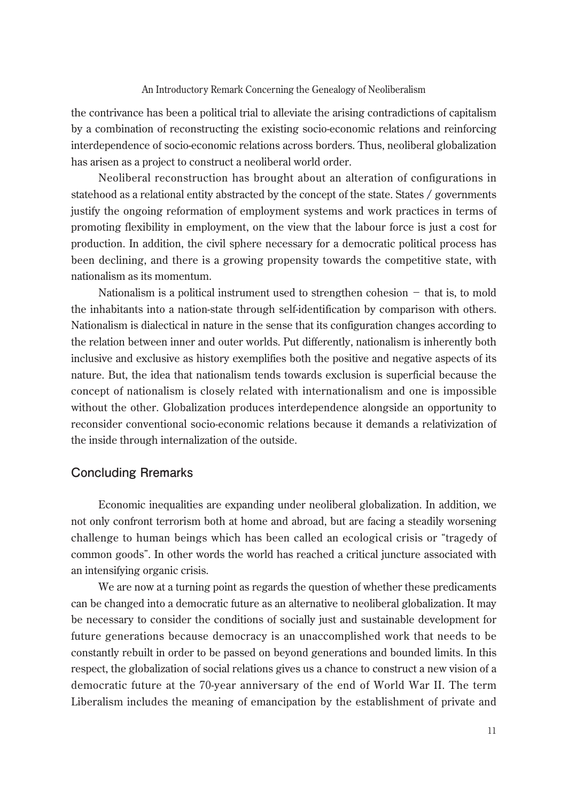#### An Introductory Remark Concerning the Genealogy of Neoliberalism

the contrivance has been a political trial to alleviate the arising contradictions of capitalism by a combination of reconstructing the existing socio-economic relations and reinforcing interdependence of socio-economic relations across borders. Thus, neoliberal globalization has arisen as a project to construct a neoliberal world order.

Neoliberal reconstruction has brought about an alteration of configurations in statehood as a relational entity abstracted by the concept of the state. States / governments justify the ongoing reformation of employment systems and work practices in terms of promoting flexibility in employment, on the view that the labour force is just a cost for production. In addition, the civil sphere necessary for a democratic political process has been declining, and there is a growing propensity towards the competitive state, with nationalism as its momentum.

Nationalism is a political instrument used to strengthen cohesion  $-$  that is, to mold the inhabitants into a nation-state through self-identification by comparison with others. Nationalism is dialectical in nature in the sense that its configuration changes according to the relation between inner and outer worlds. Put differently, nationalism is inherently both inclusive and exclusive as history exemplifies both the positive and negative aspects of its nature. But, the idea that nationalism tends towards exclusion is superficial because the concept of nationalism is closely related with internationalism and one is impossible without the other. Globalization produces interdependence alongside an opportunity to reconsider conventional socio-economic relations because it demands a relativization of the inside through internalization of the outside.

## **Concluding Rremarks**

Economic inequalities are expanding under neoliberal globalization. In addition, we not only confront terrorism both at home and abroad, but are facing a steadily worsening challenge to human beings which has been called an ecological crisis or "tragedy of common goods". In other words the world has reached a critical juncture associated with an intensifying organic crisis.

We are now at a turning point as regards the question of whether these predicaments can be changed into a democratic future as an alternative to neoliberal globalization. It may be necessary to consider the conditions of socially just and sustainable development for future generations because democracy is an unaccomplished work that needs to be constantly rebuilt in order to be passed on beyond generations and bounded limits. In this respect, the globalization of social relations gives us a chance to construct a new vision of a democratic future at the 70-year anniversary of the end of World War II. The term Liberalism includes the meaning of emancipation by the establishment of private and